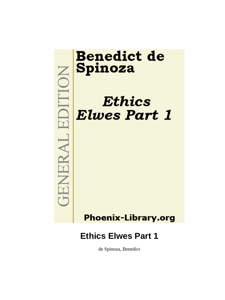

# **Benedict de** Spinoza

# **Ethics Elwes Part 1**

# **Phoenix-Library.org**

# **Ethics Elwes Part 1**

de Spinoza, Benedict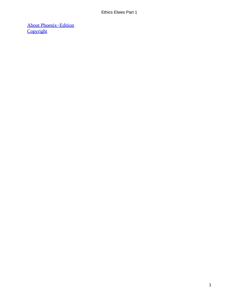[About Phoenix−Edition](#page-30-0) **[Copyright](#page-31-0)**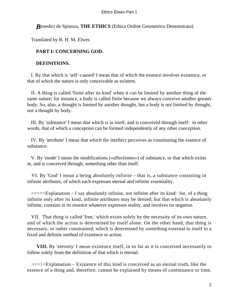#### *B*enedict de Spinoza, **THE ETHICS** (Ethica Ordine Geometrico Demonstrata)

Translated by R. H. M. Elwes

### **PART I: CONCERNING GOD.**

#### **DEFINITIONS.**

 I. By that which is 'self−caused' I mean that of which the essence involves existence, or that of which the nature is only conceivable as existent.

 II. A thing is called 'finite after its kind' when it can be limited by another thing of the same nature; for instance, a body is called finite because we always conceive another greater body. So, also, a thought is limited by another thought, but a body is not limited by thought, nor a thought by body.

 III. By 'substance' I mean that which is in itself, and is conceived through itself: in other words, that of which a conception can be formed independently of any other conception.

 IV. By 'attribute' I mean that which the intellect perceives as constituting the essence of substance.

 V. By 'mode' I mean the modifications («affectiones») of substance, or that which exists in, and is conceived through, something other than itself.

 VI. By 'God' I mean a being absolutely infinite – that is, a substance consisting in infinite attributes, of which each expresses eternal and infinite essentiality.

 >>>>>Explanation – I say absolutely infinite, not infinite after its kind: for, of a thing infinite only after its kind, infinite attributes may be denied; but that which is absolutely infinite, contains in its essence whatever expresses reality, and involves no negation.

 VII. That thing is called 'free,' which exists solely by the necessity of its own nature, and of which the action is determined by itself alone. On the other hand, that thing is necessary, or rather constrained, which is determined by something external to itself to a fixed and definite method of existence or action.

**VIII.** By 'eternity' I mean existence itself, in so far as it is conceived necessarily to follow solely from the definition of that which is eternal.

 >>>>>Explanation – Existence of this kind is conceived as an eternal truth, like the essence of a thing and, therefore, cannot be explained by means of continuance or time,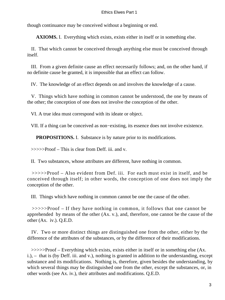though continuance may be conceived without a beginning or end.

**AXIOMS.** I. Everything which exists, exists either in itself or in something else.

 II. That which cannot be conceived through anything else must be conceived through itself.

 III. From a given definite cause an effect necessarily follows; and, on the other hand, if no definite cause be granted, it is impossible that an effect can follow.

IV. The knowledge of an effect depends on and involves the knowledge of a cause.

 V. Things which have nothing in common cannot be understood, the one by means of the other; the conception of one does not involve the conception of the other.

VI. A true idea must correspond with its ideate or object.

VII. If a thing can be conceived as non−existing, its essence does not involve existence.

**PROPOSITIONS.** I. Substance is by nature prior to its modifications.

>>>>>Proof – This is clear from Deff. iii. and v.

II. Two substances, whose attributes are different, have nothing in common.

 >>>>>Proof – Also evident from Def. iii. For each must exist in itself, and be conceived through itself; in other words, the conception of one does not imply the conception of the other.

III. Things which have nothing in common cannot be one the cause of the other.

 >>>>>Proof – If they have nothing in common, it follows that one cannot be apprehended by means of the other (Ax. v.), and, therefore, one cannot be the cause of the other (Ax. iv.). Q.E.D.

 IV. Two or more distinct things are distinguished one from the other, either by the difference of the attributes of the substances, or by the difference of their modifications.

 >>>>>Proof – Everything which exists, exists either in itself or in something else (Ax. i.), – that is (by Deff. iii. and v.), nothing is granted in addition to the understanding, except substance and its modifications. Nothing is, therefore, given besides the understanding, by which several things may be distinguished one from the other, except the substances, or, in other words (see Ax. iv.), their attributes and modifications. Q.E.D.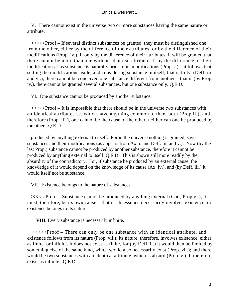V. There cannot exist in the universe two or more substances having the same nature or attribute.

 >>>>>Proof – If several distinct substances be granted, they must be distinguished one from the other, either by the difference of their attributes, or by the difference of their modifications (Prop. iv.). If only by the difference of their attributes, it will be granted that there cannot be more than one with an identical attribute. If by the difference of their modifications – as substance is naturally prior to its modifications (Prop. i.) – it follows that setting the modifications aside, and considering substance in itself, that is truly, (Deff. iii and vi.), there cannot be conceived one substance different from another – that is (by Prop. iv.), there cannot be granted several substances, but one substance only. Q.E.D.

VI. One substance cannot be produced by another substance.

 >>>>>Proof – It is impossible that there should be in the universe two substances with an identical attribute, i.e. which have anything common to them both (Prop ii.), and, therefore (Prop. iii.), one cannot be the cause of the other, neither can one be produced by the other. Q.E.D.

 produced by anything external to itself. For in the universe nothing is granted, save substances and their modifications (as appears from Ax. i. and Deff. iii. and v.). Now (by the last Prop.) substance cannot be produced by another substance, therefore it cannot be produced by anything external to itself. Q.E.D. This is shown still more readily by the absurdity of the contradictory. For, if substance be produced by an external cause, the knowledge of it would depend on the knowledge of its cause (Ax. iv.), and (by Deff. iii.) it would itself not be substance.

VII. Existence belongs to the nature of substances.

 >>>>>Proof – Substance cannot be produced by anything external (Cor., Prop vi.), it must, therefore, be its own cause – that is, its essence necessarily involves existence, or existence belongs to its nature.

**VIII.** Every substance is necessarily infinite.

 >>>>>Proof – There can only be one substance with an identical attribute, and existence follows from its nature (Prop. vii.); its nature, therefore, involves existence, either as finite or infinite. It does not exist as finite, for (by Deff. ii.) it would then be limited by something else of the same kind, which would also necessarily exist (Prop. vii.); and there would be two substances with an identical attribute, which is absurd (Prop. v.). It therefore exists as infinite. Q.E.D.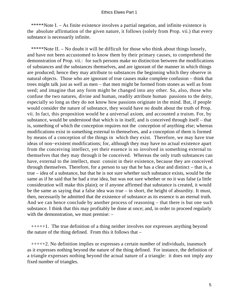\*\*\*\*\*Note I. – As finite existence involves a partial negation, and infinite existence is the absolute affirmation of the given nature, it follows (solely from Prop. vii.) that every substance is necessarily infinite.

 \*\*\*\*\*Note II. – No doubt it will be difficult for those who think about things loosely, and have not been accustomed to know them by their primary causes, to comprehend the demonstration of Prop. vii.: for such persons make no distinction between the modifications of substances and the substances themselves, and are ignorant of the manner in which things are produced; hence they may attribute to substances the beginning which they observe in natural objects. Those who are ignorant of true causes make complete confusion – think that trees might talk just as well as men – that men might be formed from stones as well as from seed; and imagine that any form might be changed into any other. So, also, those who confuse the two natures, divine and human, readily attribute human passions to the deity, especially so long as they do not know how passions originate in the mind. But, if people would consider the nature of substance, they would have no doubt about the truth of Prop. vii. In fact, this proposition would be a universal axiom, and accounted a truism. For, by substance, would be understood that which is in itself, and is conceived through itself – that is, something of which the conception requires not the conception of anything else; whereas modifications exist in something external to themselves, and a conception of them is formed by means of a conception of the things in which they exist. Therefore, we may have true ideas of non−existent modifications; for, although they may have no actual existence apart from the conceiving intellect, yet their essence is so involved in something external to themselves that they may through it be conceived. Whereas the only truth substances can have, external to the intellect, must consist in their existence, because they are conceived through themselves. Therefore, for a person to say that he has a clear and distinct – that is, a true – idea of a substance, but that he is not sure whether such substance exists, would be the same as if he said that he had a true idea, but was not sure whether or no it was false (a little consideration will make this plain); or if anyone affirmed that substance is created, it would be the same as saying that a false idea was true – in short, the height of absurdity. It must, then, necessarily be admitted that the existence of substance as its essence is an eternal truth. And we can hence conclude by another process of reasoning – that there is but one such substance. I think that this may profitably be done at once; and, in order to proceed regularly with the demonstration, we must premise:  $-$ 

 +++++1. The true definition of a thing neither involves nor expresses anything beyond the nature of the thing defined. From this it follows that –

 +++++2. No definition implies or expresses a certain number of individuals, inasmuch as it expresses nothing beyond the nature of the thing defined. For instance, the definition of a triangle expresses nothing beyond the actual nature of a triangle: it does not imply any fixed number of triangles.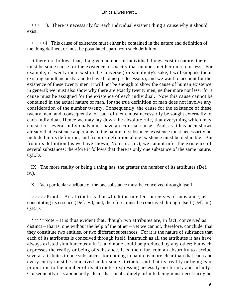+++++3. There is necessarily for each individual existent thing a cause why it should exist.

 +++++4. This cause of existence must either be contained in the nature and definition of the thing defined, or must be postulated apart from such definition.

 It therefore follows that, if a given number of individual things exist in nature, there must be some cause for the existence of exactly that number, neither more nor less. For example, if twenty men exist in the universe (for simplicity's sake, I will suppose them existing simultaneously, and to have had no predecessors), and we want to account for the existence of these twenty men, it will not be enough to show the cause of human existence in general; we must also show why there are exactly twenty men, neither more nor less: for a cause must be assigned for the existence of each individual. Now this cause cannot be contained in the actual nature of man, for the true definition of man does not involve any consideration of the number twenty. Consequently, the cause for the existence of these twenty men, and, consequently, of each of them, must necessarily be sought externally to each individual. Hence we may lay down the absolute rule, that everything which may consist of several individuals must have an external cause. And, as it has been shown already that existence appertains to the nature of substance, existence must necessarily be included in its definition; and from its definition alone existence must be deducible. But from its definition (as we have shown, Notes ii., iii.), we cannot infer the existence of several substances; therefore it follows that there is only one substance of the same nature. Q.E.D.

 IX. The more reality or being a thing has, the greater the number of its attributes (Def. iv.).

X. Each particular attribute of the one substance must be conceived through itself.

 >>>>>Proof – An attribute is that which the intellect perceives of substance, as constituting its essence (Def. iv.), and, therefore, must be conceived through itself (Def. iii.). Q.E.D.

 \*\*\*\*\*Note – It is thus evident that, though two attributes are, in fact, conceived as distinct – that is, one without the help of the other – yet we cannot, therefore, conclude that they constitute two entities, or two different substances. For it is the nature of substance that each of its attributes is conceived through itself, inasmuch as all the attributes it has have always existed simultaneously in it, and none could be produced by any other; but each expresses the reality or being of substance. It is, then, far from an absurdity to ascribe several attributes to one substance: for nothing in nature is more clear than that each and every entity must be conceived under some attribute, and that its reality or being is in proportion to the number of its attributes expressing necessity or eternity and infinity. Consequently it is abundantly clear, that an absolutely infinite being must necessarily be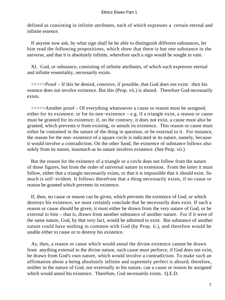defined as consisting in infinite attributes, each of which expresses a certain eternal and infinite essence.

 If anyone now ask, by what sign shall he be able to distinguish different substances, let him read the following propositions, which show that there is but one substance in the universe, and that it is absolutely infinite, wherefore such a sign would be sought in vain.

 XI. God, or substance, consisting of infinite attributes, of which each expresses eternal and infinite essentiality, necessarily exists.

 >>>>>Proof – If this be denied, conceive, if possible, that God does not exist: then his essence does not involve existence. But this (Prop. vii.) is absurd. Therefore God necessarily exists.

 >>>>>Another proof – Of everything whatsoever a cause or reason must be assigned, either for its existence, or for its non−existence – e.g. if a triangle exist, a reason or cause must be granted for its existence; if, on the contrary, it does not exist, a cause must also be granted, which prevents it from existing, or annuls its existence. This reason or cause must either be contained in the nature of the thing in question, or be external to it. For instance, the reason for the non−existence of a square circle is indicated in its nature, namely, because it would involve a contradiction. On the other hand, the existence of substance follows also solely from its nature, inasmuch as its nature involves existence. (See Prop. vii.)

 But the reason for the existence of a triangle or a circle does not follow from the nature of those figures, but from the order of universal nature in extension. From the latter it must follow, either that a triangle necessarily exists, or that it is impossible that it should exist. So much is self−evident. It follows therefrom that a thing necessarily exists, if no cause or reason be granted which prevents its existence.

 If, then, no cause or reason can be given, which prevents the existence of God, or which destroys his existence, we must certainly conclude that he necessarily does exist. If such a reason or cause should be given, it must either be drawn from the very nature of God, or be external to him – that is, drawn from another substance of another nature. For if it were of the same nature, God, by that very fact, would be admitted to exist. But substance of another nature could have nothing in common with God (by Prop. ii.), and therefore would be unable either to cause or to destroy his existence.

 As, then, a reason or cause which would annul the divine existence cannot be drawn from anything external to the divine nature, such cause must perforce, if God does not exist, be drawn from God's own nature, which would involve a contradiction. To make such an affirmation about a being absolutely infinite and supremely perfect is absurd; therefore, neither in the nature of God, nor externally to his nature, can a cause or reason be assigned which would annul his existence. Therefore, God necessarily exists. Q.E.D.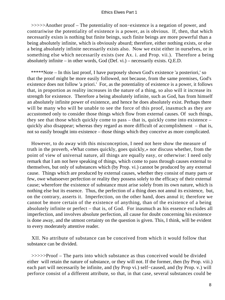>>>>>Another proof – The potentiality of non−existence is a negation of power, and contrariwise the potentiality of existence is a power, as is obvious. If, then, that which necessarily exists is nothing but finite beings, such finite beings are more powerful than a being absolutely infinite, which is obviously absurd; therefore, either nothing exists, or else a being absolutely infinite necessarily exists also. Now we exist either in ourselves, or in something else which necessarily exists (see Ax. i. and Prop. vii.). Therefore a being absolutely infinite – in other words, God (Def. vi.) – necessarily exists. Q.E.D.

 \*\*\*\*\*Note – In this last proof, I have purposely shown God's existence 'a posteriori,' so that the proof might be more easily followed, not because, from the same premises, God's existence does not follow 'a priori.' For, as the potentiality of existence is a power, it follows that, in proportion as reality increases in the nature of a thing, so also will it increase its strength for existence. Therefore a being absolutely infinite, such as God, has from himself an absolutely infinite power of existence, and hence he does absolutely exist. Perhaps there will be many who will be unable to see the force of this proof, inasmuch as they are accustomed only to consider those things which flow from external causes. Of such things, they see that those which quickly come to pass – that is, quickly come into existence – quickly also disappear; whereas they regard as more difficult of accomplishment – that is, not so easily brought into existence – those things which they conceive as more complicated.

 However, to do away with this misconception, I need not here show the measure of truth in the proverb, «What comes quickly, goes quickly,» nor discuss whether, from the point of view of universal nature, all things are equally easy, or otherwise: I need only remark that I am not here speaking of things, which come to pass through causes external to themselves, but only of substances which (by Prop. vi.) cannot be produced by any external cause. Things which are produced by external causes, whether they consist of many parts or few, owe whatsoever perfection or reality they possess solely to the efficacy of their external cause; wherefore the existence of substance must arise solely from its own nature, which is nothing else but its essence. Thus, the perfection of a thing does not annul its existence, but, on the contrary, asserts it. Imperfection, on the other hand, does annul it; therefore we cannot be more certain of the existence of anything, than of the existence of a being absolutely infinite or perfect – that is, of God. For inasmuch as his essence excludes all imperfection, and involves absolute perfection, all cause for doubt concerning his existence is done away, and the utmost certainty on the question is given. This, I think, will be evident to every moderately attentive reader.

 XII. No attribute of substance can be conceived from which it would follow that substance can be divided.

 >>>>>Proof – The parts into which substance as thus conceived would be divided either will retain the nature of substance, or they will not. If the former, then (by Prop. viii.) each part will necessarily be infinite, and (by Prop vi.) self−caused, and (by Prop. v.) will perforce consist of a different attribute, so that, in that case, several substances could be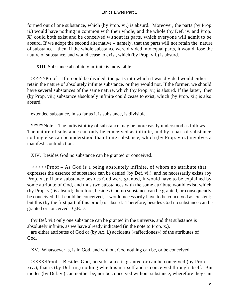formed out of one substance, which (by Prop. vi.) is absurd. Moreover, the parts (by Prop. ii.) would have nothing in common with their whole, and the whole (by Def. iv. and Prop. X) could both exist and be conceived without its parts, which everyone will admit to be absurd. If we adopt the second alternative – namely, that the parts will not retain the nature of substance – then, if the whole substance were divided into equal parts, it would lose the nature of substance, and would cease to exist, which (by Prop. vii.) is absurd.

**XIII.** Substance absolutely infinite is indivisible.

 >>>>>Proof – If it could be divided, the parts into which it was divided would either retain the nature of absolutely infinite substance, or they would not. If the former, we should have several substances of the same nature, which (by Prop. v.) is absurd. If the latter, then (by Prop. vii.) substance absolutely infinite could cease to exist, which (by Prop. xi.) is also absurd.

extended substance, in so far as it is substance, is divisible.

 \*\*\*\*\*Note – The indivisibility of substance may be more easily understood as follows. The nature of substance can only be conceived as infinite, and by a part of substance, nothing else can be understood than finite substance, which (by Prop. viii.) involves a manifest contradiction.

XIV. Besides God no substance can be granted or conceived.

 >>>>>Proof – As God is a being absolutely infinite, of whom no attribute that expresses the essence of substance can be denied (by Def. vi.), and he necessarily exists (by Prop. xi.); if any substance besides God were granted, it would have to be explained by some attribute of God, and thus two substances with the same attribute would exist, which (by Prop. v.) is absurd; therefore, besides God no substance can be granted, or consequently be conceived. If it could be conceived, it would necessarily have to be conceived as existent; but this (by the first part of this proof) is absurd. Therefore, besides God no substance can be granted or conceived. Q.E.D.

 (by Def. vi.) only one substance can be granted in the universe, and that substance is absolutely infinite, as we have already indicated (in the note to Prop. x.).

 are either attributes of God or (by Ax. i.) accidents («affectiones») of the attributes of God.

XV. Whatsoever is, is in God, and without God nothing can be, or be conceived.

 >>>>>Proof – Besides God, no substance is granted or can be conceived (by Prop. xiv.), that is (by Def. iii.) nothing which is in itself and is conceived through itself. But modes (by Def. v.) can neither be, nor be conceived without substance; wherefore they can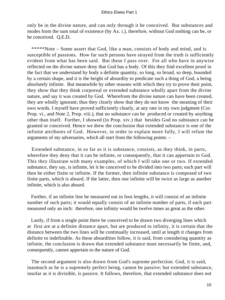only be in the divine nature, and can only through it be conceived. But substances and modes form the sum total of existence (by Ax. i.), therefore, without God nothing can be, or be conceived. Q.E.D.

 \*\*\*\*\*Note – Some assert that God, like a man, consists of body and mind, and is susceptible of passions. How far such persons have strayed from the truth is sufficiently evident from what has been said. But these I pass over. For all who have in anywise reflected on the divine nature deny that God has a body. Of this they find excellent proof in the fact that we understand by body a definite quantity, so long, so broad, so deep, bounded by a certain shape, and it is the height of absurdity to predicate such a thing of God, a being absolutely infinite. But meanwhile by other reasons with which they try to prove their point, they show that they think corporeal or extended substance wholly apart from the divine nature, and say it was created by God. Wherefrom the divine nature can have been created, they are wholly ignorant; thus they clearly show that they do not know the meaning of their own words. I myself have proved sufficiently clearly, at any rate in my own judgment (Cor. Prop. vi., and Note 2, Prop. viii.), that no substance can be produced or created by anything other than itself. Further, I showed (in Prop. xiv.) that besides God no substance can be granted or conceived. Hence we drew the conclusion that extended substance is one of the infinite attributes of God. However, in order to explain more fully, I will refute the arguments of my adversaries, which all start from the following points: –

 Extended substance, in so far as it is substance, consists, as they think, in parts, wherefore they deny that it can be infinite, or consequently, that it can appertain to God. This they illustrate with many examples, of which I will take one or two. If extended substance, they say, is infinite, let it be conceived to be divided into two parts; each part will then be either finite or infinite. If the former, then infinite substance is composed of two finite parts, which is absurd. If the latter, then one infinite will be twice as large as another infinite, which is also absurd.

 Further, if an infinite line be measured out in foot lengths, it will consist of an infinite number of such parts; it would equally consist of an infinite number of parts, if each part measured only an inch: therefore, one infinity would be twelve times as great as the other.

 Lastly, if from a single point there be conceived to be drawn two diverging lines which at first are at a definite distance apart, but are produced to infinity, it is certain that the distance between the two lines will be continually increased, until at length it changes from definite to indefinable. As these absurdities follow, it is said, from considering quantity as infinite, the conclusion is drawn that extended substance must necessarily be finite, and, consequently, cannot appertain to the nature of God.

 The second argument is also drawn from God's supreme perfection. God, it is said, inasmuch as he is a supremely perfect being, cannot be passive; but extended substance, insofar as it is divisible, is passive. It follows, therefore, that extended substance does not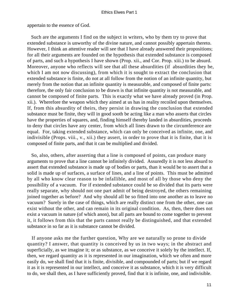appertain to the essence of God.

 Such are the arguments I find on the subject in writers, who by them try to prove that extended substance is unworthy of the divine nature, and cannot possibly appertain thereto. However, I think an attentive reader will see that I have already answered their propositions; for all their arguments are founded on the hypothesis that extended substance is composed of parts, and such a hypothesis I have shown (Prop. xii., and Cor. Prop. xiii.) to be absurd. Moreover, anyone who reflects will see that all these absurdities (if absurdities they be, which I am not now discussing), from which it is sought to extract the conclusion that extended substance is finite, do not at all follow from the notion of an infinite quantity, but merely from the notion that an infinite quantity is measurable, and composed of finite parts: therefore, the only fair conclusion to be drawn is that infinite quantity is not measurable, and cannot be composed of finite parts. This is exactly what we have already proved (in Prop. xii.). Wherefore the weapon which they aimed at us has in reality recoiled upon themselves. If, from this absurdity of theirs, they persist in drawing the conclusion that extended substance must be finite, they will in good sooth be acting like a man who asserts that circles have the properties of squares, and, finding himself thereby landed in absurdities, proceeds to deny that circles have any center, from which all lines drawn to the circumference are equal. For, taking extended substance, which can only be conceived as infinite, one, and indivisible (Props. viii., v., xii.) they assert, in order to prove that it is finite, that it is composed of finite parts, and that it can be multiplied and divided.

 So, also, others, after asserting that a line is composed of points, can produce many arguments to prove that a line cannot be infinitely divided. Assuredly it is not less absurd to assert that extended substance is made up of bodies or parts, than it would be to assert that a solid is made up of surfaces, a surface of lines, and a line of points. This must be admitted by all who know clear reason to be infallible, and most of all by those who deny the possibility of a vacuum. For if extended substance could be so divided that its parts were really separate, why should not one part admit of being destroyed, the others remaining joined together as before? And why should all be so fitted into one another as to leave no vacuum? Surely in the case of things, which are really distinct one from the other, one can exist without the other, and can remain in its original condition. As, then, there does not exist a vacuum in nature (of which anon), but all parts are bound to come together to prevent it, it follows from this that the parts cannot really be distinguished, and that extended substance in so far as it is substance cannot be divided.

 If anyone asks me the further question, Why are we naturally so prone to divide quantity? I answer, that quantity is conceived by us in two ways; in the abstract and superficially, as we imagine it; or as substance, as we conceive it solely by the intellect. If, then, we regard quantity as it is represented in our imagination, which we often and more easily do, we shall find that it is finite, divisible, and compounded of parts; but if we regard it as it is represented in our intellect, and conceive it as substance, which it is very difficult to do, we shall then, as I have sufficiently proved, find that it is infinite, one, and indivisible.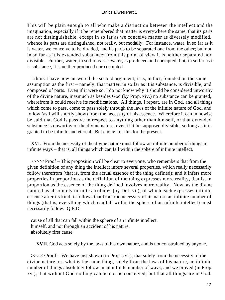This will be plain enough to all who make a distinction between the intellect and the imagination, especially if it be remembered that matter is everywhere the same, that its parts are not distinguishable, except in so far as we conceive matter as diversely modified, whence its parts are distinguished, not really, but modally. For instance, water, in so far as it is water, we conceive to be divided, and its parts to be separated one from the other; but not in so far as it is extended substance; from this point of view it is neither separated nor divisible. Further, water, in so far as it is water, is produced and corrupted; but, in so far as it is substance, it is neither produced nor corrupted.

 I think I have now answered the second argument; it is, in fact, founded on the same assumption as the first – namely, that matter, in so far as it is substance, is divisible, and composed of parts. Even if it were so, I do not know why it should be considered unworthy of the divine nature, inasmuch as besides God (by Prop. xiv.) no substance can be granted, wherefrom it could receive its modifications. All things, I repeat, are in God, and all things which come to pass, come to pass solely through the laws of the infinite nature of God, and follow (as I will shortly show) from the necessity of his essence. Wherefore it can in nowise be said that God is passive in respect to anything other than himself, or that extended substance is unworthy of the divine nature, even if it be supposed divisible, so long as it is granted to be infinite and eternal. But enough of this for the present.

 XVI. From the necessity of the divine nature must follow an infinite number of things in infinite ways – that is, all things which can fall within the sphere of infinite intellect.

 >>>>>Proof – This proposition will be clear to everyone, who remembers that from the given definition of any thing the intellect infers several properties, which really necessarily follow therefrom (that is, from the actual essence of the thing defined); and it infers more properties in proportion as the definition of the thing expresses more reality, that is, in proportion as the essence of the thing defined involves more reality. Now, as the divine nature has absolutely infinite attributes (by Def. vi.), of which each expresses infinite essence after its kind, it follows that from the necessity of its nature an infinite number of things (that is, everything which can fall within the sphere of an infinite intellect) must necessarily follow. Q.E.D.

 cause of all that can fall within the sphere of an infinite intellect. himself, and not through an accident of his nature. absolutely first cause.

**XVII.** God acts solely by the laws of his own nature, and is not constrained by anyone.

 >>>>>Proof – We have just shown (in Prop. xvi.), that solely from the necessity of the divine nature, or, what is the same thing, solely from the laws of his nature, an infinite number of things absolutely follow in an infinite number of ways; and we proved (in Prop. xv.), that without God nothing can be nor be conceived; but that all things are in God.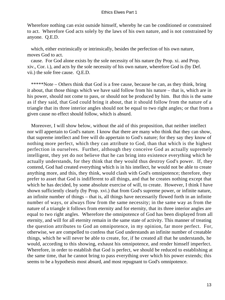Wherefore nothing can exist outside himself, whereby he can be conditioned or constrained to act. Wherefore God acts solely by the laws of his own nature, and is not constrained by anyone. Q.E.D.

 which, either extrinsically or intrinsically, besides the perfection of his own nature, moves God to act.

 cause. For God alone exists by the sole necessity of his nature (by Prop. xi. and Prop. xiv., Cor. i.), and acts by the sole necessity of his own nature, wherefore God is (by Def. vii.) the sole free cause. Q.E.D.

 \*\*\*\*\*Note – Others think that God is a free cause, because he can, as they think, bring it about, that those things which we have said follow from his nature – that is, which are in his power, should not come to pass, or should not be produced by him. But this is the same as if they said, that God could bring it about, that it should follow from the nature of a triangle that its three interior angles should not be equal to two right angles; or that from a given cause no effect should follow, which is absurd.

 Moreover, I will show below, without the aid of this proposition, that neither intellect nor will appertain to God's nature. I know that there are many who think that they can show, that supreme intellect and free will do appertain to God's nature; for they say they know of nothing more perfect, which they can attribute to God, than that which is the highest perfection in ourselves. Further, although they conceive God as actually supremely intelligent, they yet do not believe that he can bring into existence everything which he actually understands, for they think that they would thus destroy God's power. If, they contend, God had created everything which is in his intellect, he would not be able to create anything more, and this, they think, would clash with God's omnipotence; therefore, they prefer to asset that God is indifferent to all things, and that he creates nothing except that which he has decided, by some absolute exercise of will, to create. However, I think I have shown sufficiently clearly (by Prop. xvi.) that from God's supreme power, or infinite nature, an infinite number of things – that is, all things have necessarily flowed forth in an infinite number of ways, or always flow from the same necessity; in the same way as from the nature of a triangle it follows from eternity and for eternity, that its three interior angles are equal to two right angles. Wherefore the omnipotence of God has been displayed from all eternity, and will for all eternity remain in the same state of activity. This manner of treating the question attributes to God an omnipotence, in my opinion, far more perfect. For, otherwise, we are compelled to confess that God understands an infinite number of creatable things, which he will never be able to create, for, if he created all that he understands, he would, according to this showing, exhaust his omnipotence, and render himself imperfect. Wherefore, in order to establish that God is perfect, we should be reduced to establishing at the same time, that he cannot bring to pass everything over which his power extends; this seems to be a hypothesis most absurd, and most repugnant to God's omnipotence.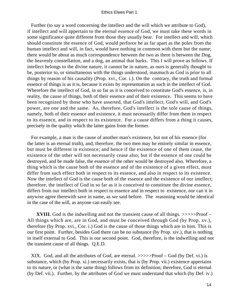Further (to say a word concerning the intellect and the will which we attribute to God), if intellect and will appertain to the eternal essence of God, we must take these words in some significance quite different from those they usually bear. For intellect and will, which should constitute the essence of God, would perforce be as far apart as the poles from the human intellect and will, in fact, would have nothing in common with them but the name; there would be about as much correspondence between the two as there is between the Dog, the heavenly constellation, and a dog, an animal that barks. This I will prove as follows. If intellect belongs to the divine nature, it cannot be in nature, as ours is generally thought to be, posterior to, or simultaneous with the things understood, inasmuch as God is prior to all things by reason of his causality (Prop. xvi., Cor. i.). On the contrary, the truth and formal essence of things is as it is, because it exists by representation as such in the intellect of God. Wherefore the intellect of God, in so far as it is conceived to constitute God's essence, is, in reality, the cause of things, both of their essence and of their existence. This seems to have been recognized by those who have asserted, that God's intellect, God's will, and God's power, are one and the same. As, therefore, God's intellect is the sole cause of things, namely, both of their essence and existence, it must necessarily differ from them in respect to its essence, and in respect to its existence. For a cause differs from a thing it causes, precisely in the quality which the latter gains from the former.

 For example, a man is the cause of another man's existence, but not of his essence (for the latter is an eternal truth), and, therefore, the two men may be entirely similar in essence, but must be different in existence; and hence if the existence of one of them cease, the existence of the other will not necessarily cease also; but if the essence of one could be destroyed, and be made false, the essence of the other would be destroyed also. Wherefore, a thing which is the cause both of the essence and of the existence of a given effect, must differ from such effect both in respect to its essence, and also in respect to its existence. Now the intellect of God is the cause both of the essence and the existence of our intellect; therefore, the intellect of God in so far as it is conceived to constitute the divine essence, differs from our intellect both in respect to essence and in respect to existence, nor can it in anywise agree therewith save in name, as we said before. The reasoning would be identical in the case of the will, as anyone can easily see.

**XVIII.** God is the indwelling and not the transient cause of all things.  $\gg\gg\gg$ Proof – All things which are, are in God, and must be conceived through God (by Prop. xv.), therefore (by Prop. xvi., Cor. i.) God is the cause of those things which are in him. This is our first point. Further, besides God there can be no substance (by Prop. xiv.), that is nothing in itself external to God. This is our second point. God, therefore, is the indwelling and not the transient cause of all things. Q.E.D.

 XIX. God, and all the attributes of God, are eternal. >>>>>Proof – God (by Def. vi.) is substance, which (by Prop. xi.) necessarily exists, that is (by Prop. vii.) existence appertains to its nature, or (what is the same thing) follows from its definition; therefore, God is eternal (by Def. vii.). Further, by the attributes of God we must understand that which (by Def. iv.)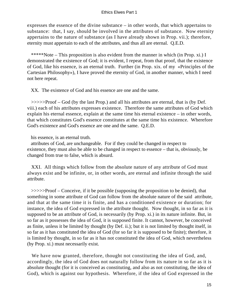expresses the essence of the divine substance – in other words, that which appertains to substance: that, I say, should be involved in the attributes of substance. Now eternity appertains to the nature of substance (as I have already shown in Prop. vii.); therefore, eternity must appertain to each of the attributes, and thus all are eternal. Q.E.D.

 \*\*\*\*\*Note – This proposition is also evident from the manner in which (in Prop. xi.) I demonstrated the existence of God; it is evident, I repeat, from that proof, that the existence of God, like his essence, is an eternal truth. Further (in Prop. xix. of my «Principles of the Cartesian Philosophy»), I have proved the eternity of God, in another manner, which I need not here repeat.

XX. The existence of God and his essence are one and the same.

 >>>>>Proof – God (by the last Prop.) and all his attributes are eternal, that is (by Def. viii.) each of his attributes expresses existence. Therefore the same attributes of God which explain his eternal essence, explain at the same time his eternal existence – in other words, that which constitutes God's essence constitutes at the same time his existence. Wherefore God's existence and God's essence are one and the same. Q.E.D.

his essence, is an eternal truth.

 attributes of God, are unchangeable. For if they could be changed in respect to existence, they must also be able to be changed in respect to essence – that is, obviously, be changed from true to false, which is absurd.

 XXI. All things which follow from the absolute nature of any attribute of God must always exist and be infinite, or, in other words, are eternal and infinite through the said attribute.

 >>>>>Proof – Conceive, if it be possible (supposing the proposition to be denied), that something in some attribute of God can follow from the absolute nature of the said attribute, and that at the same time it is finite, and has a conditioned existence or duration; for instance, the idea of God expressed in the attribute thought. Now thought, in so far as it is supposed to be an attribute of God, is necessarily (by Prop. xi.) in its nature infinite. But, in so far as it possesses the idea of God, it is supposed finite. It cannot, however, be conceived as finite, unless it be limited by thought (by Def. ii.); but it is not limited by thought itself, in so far as it has constituted the idea of God (for so far it is supposed to be finite); therefore, it is limited by thought, in so far as it has not constituted the idea of God, which nevertheless (by Prop. xi.) must necessarily exist.

 We have now granted, therefore, thought not constituting the idea of God, and, accordingly, the idea of God does not naturally follow from its nature in so far as it is absolute thought (for it is conceived as constituting, and also as not constituting, the idea of God), which is against our hypothesis. Wherefore, if the idea of God expressed in the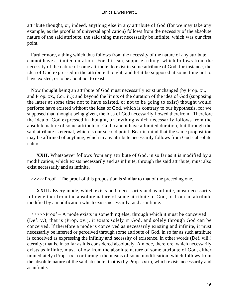attribute thought, or, indeed, anything else in any attribute of God (for we may take any example, as the proof is of universal application) follows from the necessity of the absolute nature of the said attribute, the said thing must necessarily be infinite, which was our first point.

 Furthermore, a thing which thus follows from the necessity of the nature of any attribute cannot have a limited duration. For if it can, suppose a thing, which follows from the necessity of the nature of some attribute, to exist in some attribute of God, for instance, the idea of God expressed in the attribute thought, and let it be supposed at some time not to have existed, or to be about not to exist.

 Now thought being an attribute of God must necessarily exist unchanged (by Prop. xi., and Prop. xx., Cor. ii.); and beyond the limits of the duration of the idea of God (supposing the latter at some time not to have existed, or not to be going to exist) thought would perforce have existed without the idea of God, which is contrary to our hypothesis, for we supposed that, thought being given, the idea of God necessarily flowed therefrom. Therefore the idea of God expressed in thought, or anything which necessarily follows from the absolute nature of some attribute of God, cannot have a limited duration, but through the said attribute is eternal, which is our second point. Bear in mind that the same proposition may be affirmed of anything, which in any attribute necessarily follows from God's absolute nature.

**XXII.** Whatsoever follows from any attribute of God, in so far as it is modified by a modification, which exists necessarily and as infinite, through the said attribute, must also exist necessarily and as infinite.

>>>>>Proof – The proof of this proposition is similar to that of the preceding one.

**XXIII.** Every mode, which exists both necessarily and as infinite, must necessarily follow either from the absolute nature of some attribute of God, or from an attribute modified by a modification which exists necessarily, and as infinite.

 >>>>>Proof – A mode exists in something else, through which it must be conceived (Def. v.), that is (Prop. xv.), it exists solely in God, and solely through God can be conceived. If therefore a mode is conceived as necessarily existing and infinite, it must necessarily be inferred or perceived through some attribute of God, in so far as such attribute is conceived as expressing the infinity and necessity of existence, in other words (Def. viii.) eternity; that is, in so far as it is considered absolutely. A mode, therefore, which necessarily exists as infinite, must follow from the absolute nature of some attribute of God, either immediately (Prop. xxi.) or through the means of some modification, which follows from the absolute nature of the said attribute; that is (by Prop. xxii.), which exists necessarily and as infinite.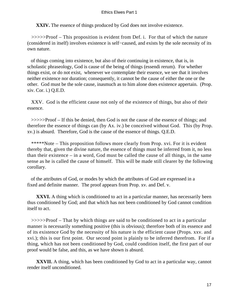**XXIV.** The essence of things produced by God does not involve existence.

 >>>>>Proof – This proposition is evident from Def. i. For that of which the nature (considered in itself) involves existence is self−caused, and exists by the sole necessity of its own nature.

 of things coming into existence, but also of their continuing in existence, that is, in scholastic phraseology, God is cause of the being of things (essendi rerum). For whether things exist, or do not exist, whenever we contemplate their essence, we see that it involves neither existence nor duration; consequently, it cannot be the cause of either the one or the other. God must be the sole cause, inasmuch as to him alone does existence appertain. (Prop. xiv. Cor. i.) Q.E.D.

 XXV. God is the efficient cause not only of the existence of things, but also of their essence.

 >>>>>Proof – If this be denied, then God is not the cause of the essence of things; and therefore the essence of things can (by Ax. iv.) be conceived without God. This (by Prop. xv.) is absurd. Therefore, God is the cause of the essence of things. Q.E.D.

 \*\*\*\*\*Note – This proposition follows more clearly from Prop. xvi. For it is evident thereby that, given the divine nature, the essence of things must be inferred from it, no less than their existence – in a word, God must be called the cause of all things, in the same sense as he is called the cause of himself. This will be made still clearer by the following corollary.

 of the attributes of God, or modes by which the attributes of God are expressed in a fixed and definite manner. The proof appears from Prop. xv. and Def. v.

**XXVI.** A thing which is conditioned to act in a particular manner, has necessarily been thus conditioned by God; and that which has not been conditioned by God cannot condition itself to act.

 >>>>>Proof – That by which things are said to be conditioned to act in a particular manner is necessarily something positive (this is obvious); therefore both of its essence and of its existence God by the necessity of his nature is the efficient cause (Props. xxv. and xvi.); this is our first point. Our second point is plainly to be inferred therefrom. For if a thing, which has not been conditioned by God, could condition itself, the first part of our proof would be false, and this, as we have shown is absurd.

**XXVII.** A thing, which has been conditioned by God to act in a particular way, cannot render itself unconditioned.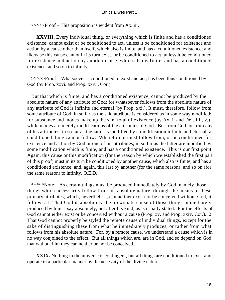>>>>>Proof – This proposition is evident from Ax. iii.

**XXVIII.** Every individual thing, or everything which is finite and has a conditioned existence, cannot exist or be conditioned to act, unless it be conditioned for existence and action by a cause other than itself, which also is finite, and has a conditioned existence; and likewise this cause cannot in its turn exist, or be conditioned to act, unless it be conditioned for existence and action by another cause, which also is finite, and has a conditioned existence, and so on to infinity.

 >>>>>Proof – Whatsoever is conditioned to exist and act, has been thus conditioned by God (by Prop. xxvi. and Prop. xxiv., Cor.)

 But that which is finite, and has a conditioned existence, cannot be produced by the absolute nature of any attribute of God; for whatsoever follows from the absolute nature of any attribute of God is infinite and eternal (by Prop. xxi.). It must, therefore, follow from some attribute of God, in so far as the said attribute is considered as in some way modified; for substance and modes make up the sum total of existence (by Ax. i. and Def. iii., v.), while modes are merely modifications of the attributes of God. But from God, or from any of his attributes, in so far as the latter is modified by a modification infinite and eternal, a conditioned thing cannot follow. Wherefore it must follow from, or be conditioned for, existence and action by God or one of his attributes, in so far as the latter are modified by some modification which is finite, and has a conditioned existence. This is our first point. Again, this cause or this modification (for the reason by which we established the first part of this proof) must in its turn be conditioned by another cause, which also is finite, and has a conditioned existence, and, again, this last by another (for the same reason); and so on (for the same reason) to infinity. Q.E.D.

 \*\*\*\*\*Note – As certain things must be produced immediately by God, namely those things which necessarily follow from his absolute nature, through the means of these primary attributes, which, nevertheless, can neither exist nor be conceived without God, it follows: 1. That God is absolutely the proximate cause of those things immediately produced by him. I say absolutely, not after his kind, as is usually stated. For the effects of God cannot either exist or be conceived without a cause (Prop. xv. and Prop. xxiv. Cor.). 2. That God cannot properly be styled the remote cause of individual things, except for the sake of distinguishing these from what he immediately produces, or rather from what follows from his absolute nature. For, by a remote cause, we understand a cause which is in no way conjoined to the effect. But all things which are, are in God, and so depend on God, that without him they can neither be nor be conceived.

**XXIX.** Nothing in the universe is contingent, but all things are conditioned to exist and operate in a particular manner by the necessity of the divine nature.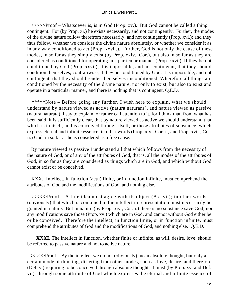>>>>>Proof – Whatsoever is, is in God (Prop. xv.). But God cannot be called a thing contingent. For (by Prop. xi.) he exists necessarily, and not contingently. Further, the modes of the divine nature follow therefrom necessarily, and not contingently (Prop. xvi.); and they thus follow, whether we consider the divine nature absolutely, or whether we consider it as in any way conditioned to act (Prop. xxvii.). Further, God is not only the cause of these modes, in so far as they simply exist (by Prop. xxiv., Cor.), but also in so far as they are considered as conditioned for operating in a particular manner (Prop. xxvi.). If they be not conditioned by God (Prop. xxvi.), it is impossible, and not contingent, that they should condition themselves; contrariwise, if they be conditioned by God, it is impossible, and not contingent, that they should render themselves unconditioned. Wherefore all things are conditioned by the necessity of the divine nature, not only to exist, but also to exist and operate in a particular manner, and there is nothing that is contingent. Q.E.D.

 \*\*\*\*\*Note – Before going any further, I wish here to explain, what we should understand by nature viewed as active (natura naturans), and nature viewed as passive (natura naturata). I say to explain, or rather call attention to it, for I think that, from what has been said, it is sufficiently clear, that by nature viewed as active we should understand that which is in itself, and is conceived through itself, or those attributes of substance, which express eternal and infinite essence, in other words (Prop. xiv., Cor. i., and Prop. xvii., Cor. ii.) God, in so far as he is considered as a free cause.

 By nature viewed as passive I understand all that which follows from the necessity of the nature of God, or of any of the attributes of God, that is, all the modes of the attributes of God, in so far as they are considered as things which are in God, and which without God cannot exist or be conceived.

 XXX. Intellect, in function (actu) finite, or in function infinite, must comprehend the attributes of God and the modifications of God, and nothing else.

 >>>>>Proof – A true idea must agree with its object (Ax. vi.); in other words (obviously) that which is contained in the intellect in representation must necessarily be granted in nature. But in nature (by Prop. xiv., Cor. i.) there is no substance save God, nor any modifications save those (Prop. xv.) which are in God, and cannot without God either be or be conceived. Therefore the intellect, in function finite, or in function infinite, must comprehend the attributes of God and the modifications of God, and nothing else. Q.E.D.

**XXXI.** The intellect in function, whether finite or infinite, as will, desire, love, should be referred to passive nature and not to active nature.

 >>>>>Proof – By the intellect we do not (obviously) mean absolute thought, but only a certain mode of thinking, differing from other modes, such as love, desire, and therefore (Def. v.) requiring to be conceived through absolute thought. It must (by Prop. xv. and Def. vi.), through some attribute of God which expresses the eternal and infinite essence of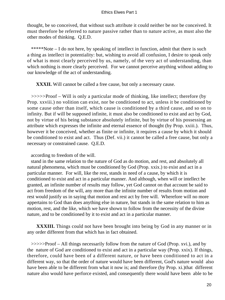thought, be so conceived, that without such attribute it could neither be nor be conceived. It must therefore be referred to nature passive rather than to nature active, as must also the other modes of thinking. Q.E.D.

 \*\*\*\*\*Note – I do not here, by speaking of intellect in function, admit that there is such a thing as intellect in potentiality: but, wishing to avoid all confusion, I desire to speak only of what is most clearly perceived by us, namely, of the very act of understanding, than which nothing is more clearly perceived. For we cannot perceive anything without adding to our knowledge of the act of understanding.

**XXXII.** Will cannot be called a free cause, but only a necessary cause.

 >>>>>Proof – Will is only a particular mode of thinking, like intellect; therefore (by Prop. xxviii.) no volition can exist, nor be conditioned to act, unless it be conditioned by some cause other than itself, which cause is conditioned by a third cause, and so on to infinity. But if will be supposed infinite, it must also be conditioned to exist and act by God, not by virtue of his being substance absolutely infinite, but by virtue of his possessing an attribute which expresses the infinite and eternal essence of thought (by Prop. xxiii.). Thus, however it be conceived, whether as finite or infinite, it requires a cause by which it should be conditioned to exist and act. Thus (Def. vii.) it cannot be called a free cause, but only a necessary or constrained cause. Q.E.D.

according to freedom of the will.

 stand in the same relation to the nature of God as do motion, and rest, and absolutely all natural phenomena, which must be conditioned by God (Prop. xxix.) to exist and act in a particular manner. For will, like the rest, stands in need of a cause, by which it is conditioned to exist and act in a particular manner. And although, when will or intellect be granted, an infinite number of results may follow, yet God cannot on that account be said to act from freedom of the will, any more than the infinite number of results from motion and rest would justify us in saying that motion and rest act by free will. Wherefore will no more appertains to God than does anything else in nature, but stands in the same relation to him as motion, rest, and the like, which we have shown to follow from the necessity of the divine nature, and to be conditioned by it to exist and act in a particular manner.

**XXXIII.** Things could not have been brought into being by God in any manner or in any order different from that which has in fact obtained.

 >>>>>Proof – All things necessarily follow from the nature of God (Prop. xvi.), and by the nature of God are conditioned to exist and act in a particular way (Prop. xxix). If things, therefore, could have been of a different nature, or have been conditioned to act in a different way, so that the order of nature would have been different, God's nature would also have been able to be different from what it now is; and therefore (by Prop. xi.)that different nature also would have perforce existed, and consequently there would have been able to be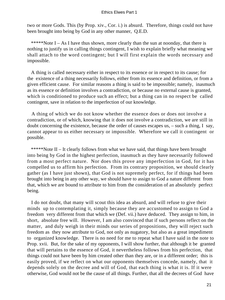two or more Gods. This (by Prop. xiv., Cor. i.) is absurd. Therefore, things could not have been brought into being by God in any other manner, Q.E.D.

\*\*\*\*\*Note  $I - As I$  have thus shown, more clearly than the sun at noonday, that there is nothing to justify us in calling things contingent, I wish to explain briefly what meaning we shall attach to the word contingent; but I will first explain the words necessary and impossible.

 A thing is called necessary either in respect to its essence or in respect to its cause; for the existence of a thing necessarily follows, either from its essence and definition, or from a given efficient cause. For similar reasons a thing is said to be impossible; namely, inasmuch as its essence or definition involves a contradiction, or because no external cause is granted, which is conditioned to produce such an effect; but a thing can in no respect be called contingent, save in relation to the imperfection of our knowledge.

 A thing of which we do not know whether the essence does or does not involve a contradiction, or of which, knowing that it does not involve a contradiction, we are still in doubt concerning the existence, because the order of causes escapes us, – such a thing, I say, cannot appear to us either necessary or impossible. Wherefore we call it contingent or possible.

 \*\*\*\*\*Note II – It clearly follows from what we have said, that things have been brought into being by God in the highest perfection, inasmuch as they have necessarily followed from a most perfect nature. Nor does this prove any imperfection in God, for it has compelled us to affirm his perfection. From its contrary proposition, we should clearly gather (as I have just shown), that God is not supremely perfect, for if things had been brought into being in any other way, we should have to assign to God a nature different from that, which we are bound to attribute to him from the consideration of an absolutely perfect being.

 I do not doubt, that many will scout this idea as absurd, and will refuse to give their minds up to contemplating it, simply because they are accustomed to assign to God a freedom very different from that which we (Def. vii.) have deduced. They assign to him, in short, absolute free will. However, I am also convinced that if such persons reflect on the matter, and duly weigh in their minds our series of propositions, they will reject such freedom as they now attribute to God, not only as nugatory, but also as a great impediment to organized knowledge. There is no need for me to repeat what I have said in the note to Prop. xvii. But, for the sake of my opponents, I will show further, that although it be granted that will pertains to the essence of God, it nevertheless follows from his perfection, that things could not have been by him created other than they are, or in a different order; this is easily proved, if we reflect on what our opponents themselves concede, namely, that it depends solely on the decree and will of God, that each thing is what it is. If it were otherwise, God would not be the cause of all things. Further, that all the decrees of God have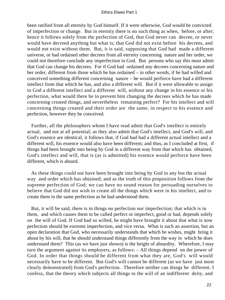been ratified from all eternity by God himself. If it were otherwise, God would be convicted of imperfection or change. But in eternity there is no such thing as when, before, or after; hence it follows solely from the perfection of God, that God never can decree, or never would have decreed anything but what is; that God did not exist before his decrees, and would not exist without them. But, it is said, supposing that God had made a different universe, or had ordained other decrees from all eternity concerning nature and her order, we could not therefore conclude any imperfection in God. But persons who say this must admit that God can change his decrees. For if God had ordained any decrees concerning nature and her order, different from those which he has ordained – in other words, if he had willed and conceived something different concerning nature – he would perforce have had a different intellect from that which he has, and also a different will. But if it were allowable to assign to God a different intellect and a different will, without any change in his essence or his perfection, what would there be to prevent him changing the decrees which he has made concerning created things, and nevertheless remaining perfect? For his intellect and will concerning things created and their order are the same, in respect to his essence and perfection, however they be conceived.

 Further, all the philosophers whom I have read admit that God's intellect is entirely actual, and not at all potential; as they also admit that God's intellect, and God's will, and God's essence are identical, it follows that, if God had had a different actual intellect and a different will, his essence would also have been different; and thus, as I concluded at first, if things had been brought into being by God in a different way from that which has obtained, God's intellect and will, that is (as is admitted) his essence would perforce have been different, which is absurd.

 As these things could not have been brought into being by God in any but the actual way and order which has obtained; and as the truth of this proposition follows from the supreme perfection of God; we can have no sound reason for persuading ourselves to believe that God did not wish to create all the things which were in his intellect, and to create them in the same perfection as he had understood them.

 But, it will be said, there is in things no perfection nor imperfection; that which is in them, and which causes them to be called perfect or imperfect, good or bad, depends solely on the will of God. If God had so willed, he might have brought it about that what is now perfection should be extreme imperfection, and vice versa. What is such an assertion, but an open declaration that God, who necessarily understands that which he wishes, might bring it about by his will, that he should understand things differently from the way in which he does understand them? This (as we have just shown) is the height of absurdity. Wherefore, I may turn the argument against its employers, as follows: – All things depend on the power of God. In order that things should be different from what they are, God's will would necessarily have to be different. But God's will cannot be different (as we have just most clearly demonstrated) from God's perfection. Therefore neither can things be different. I confess, that the theory which subjects all things to the will of an indifferent deity, and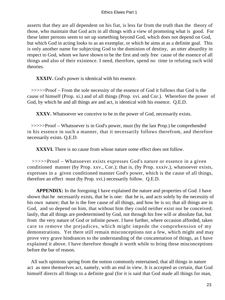asserts that they are all dependent on his fiat, is less far from the truth than the theory of those, who maintain that God acts in all things with a view of promoting what is good. For these latter persons seem to set up something beyond God, which does not depend on God, but which God in acting looks to as an exemplar, or which he aims at as a definite goal. This is only another name for subjecting God to the dominion of destiny, an utter absurdity in respect to God, whom we have shown to be the first and only free cause of the essence of all things and also of their existence. I need, therefore, spend no time in refuting such wild theories.

**XXXIV.** God's power is identical with his essence.

 >>>>>Proof – From the sole necessity of the essence of God it follows that God is the cause of himself (Prop. xi.) and of all things (Prop. xvi. and Cor.). Wherefore the power of God, by which he and all things are and act, is identical with his essence. Q.E.D.

**XXXV.** Whatsoever we conceive to be in the power of God, necessarily exists.

 >>>>>Proof – Whatsoever is in God's power, must (by the last Prop.) be comprehended in his essence in such a manner, that it necessarily follows therefrom, and therefore necessarily exists. Q.E.D.

**XXXVI.** There is no cause from whose nature some effect does not follow.

 >>>>>Proof – Whatsoever exists expresses God's nature or essence in a given conditioned manner (by Prop. xxv., Cor.); that is, (by Prop. xxxiv.), whatsoever exists, expresses in a given conditioned manner God's power, which is the cause of all things, therefore an effect must (by Prop. xvi.) necessarily follow. Q.E.D.

**APPENDIX:** In the foregoing I have explained the nature and properties of God. I have shown that he necessarily exists, that he is one: that he is, and acts solely by the necessity of his own nature; that he is the free cause of all things, and how he is so; that all things are in God, and so depend on him, that without him they could neither exist nor be conceived; lastly, that all things are predetermined by God, not through his free will or absolute fiat, but from the very nature of God or infinite power. I have further, where occasion afforded, taken care to remove the prejudices, which might impede the comprehension of my demonstrations. Yet there still remain misconceptions not a few, which might and may prove very grave hindrances to the understanding of the concatenation of things, as I have explained it above. I have therefore thought it worth while to bring these misconceptions before the bar of reason.

 All such opinions spring from the notion commonly entertained, that all things in nature act as men themselves act, namely, with an end in view. It is accepted as certain, that God himself directs all things to a definite goal (for it is said that God made all things for man,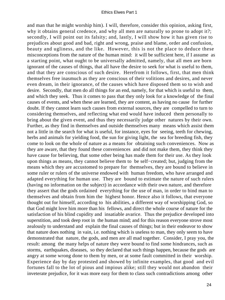and man that he might worship him). I will, therefore, consider this opinion, asking first, why it obtains general credence, and why all men are naturally so prone to adopt it?; secondly, I will point out its falsity; and, lastly, I will show how it has given rise to prejudices about good and bad, right and wrong, praise and blame, order and confusion, beauty and ugliness, and the like. However, this is not the place to deduce these misconceptions from the nature of the human mind: it will be sufficient here, if I assume as a starting point, what ought to be universally admitted, namely, that all men are born ignorant of the causes of things, that all have the desire to seek for what is useful to them, and that they are conscious of such desire. Herefrom it follows, first, that men think themselves free inasmuch as they are conscious of their volitions and desires, and never even dream, in their ignorance, of the causes which have disposed them so to wish and desire. Secondly, that men do all things for an end, namely, for that which is useful to them, and which they seek. Thus it comes to pass that they only look for a knowledge of the final causes of events, and when these are learned, they are content, as having no cause for further doubt. If they cannot learn such causes from external sources, they are compelled to turn to considering themselves, and reflecting what end would have induced them personally to bring about the given event, and thus they necessarily judge other natures by their own. Further, as they find in themselves and outside themselves many means which assist them not a little in the search for what is useful, for instance, eyes for seeing, teeth for chewing, herbs and animals for yielding food, the sun for giving light, the sea for breeding fish, they come to look on the whole of nature as a means for obtaining such conveniences. Now as they are aware, that they found these conveniences and did not make them, they think they have cause for believing, that some other being has made them for their use. As they look upon things as means, they cannot believe them to be self−created; but, judging from the means which they are accustomed to prepare for themselves, they are bound to believe in some ruler or rulers of the universe endowed with human freedom, who have arranged and adapted everything for human use. They are bound to estimate the nature of such rulers (having no information on the subject) in accordance with their own nature, and therefore they assert that the gods ordained everything for the use of man, in order to bind man to themselves and obtain from him the highest honor. Hence also it follows, that everyone thought out for himself, according to his abilities, a different way of worshipping God, so that God might love him more than his fellows, and direct the whole course of nature for the satisfaction of his blind cupidity and insatiable avarice. Thus the prejudice developed into superstition, and took deep root in the human mind; and for this reason everyone strove most zealously to understand and explain the final causes of things; but in their endeavor to show that nature does nothing in vain, i.e. nothing which is useless to man, they only seem to have demonstrated that nature, the gods, and men are all mad together. Consider, I pray you, the result: among the many helps of nature they were bound to find some hindrances, such as storms, earthquakes, diseases, so they declared that such things happen, because the gods are angry at some wrong done to them by men, or at some fault committed in their worship. Experience day by day protested and showed by infinite examples, that good and evil fortunes fall to the lot of pious and impious alike; still they would not abandon their inveterate prejudice, for it was more easy for them to class such contradictions among other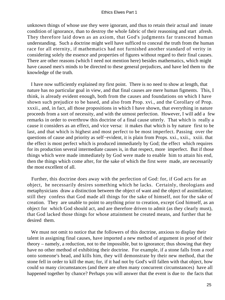unknown things of whose use they were ignorant, and thus to retain their actual and innate condition of ignorance, than to destroy the whole fabric of their reasoning and start afresh. They therefore laid down as an axiom, that God's judgments far transcend human understanding. Such a doctrine might well have sufficed to conceal the truth from the human race for all eternity, if mathematics had not furnished another standard of verity in considering solely the essence and properties of figures without regard to their final causes. There are other reasons (which I need not mention here) besides mathematics, which might have caused men's minds to be directed to these general prejudices, and have led them to the knowledge of the truth.

 I have now sufficiently explained my first point. There is no need to show at length, that nature has no particular goal in view, and that final causes are mere human figments. This, I think, is already evident enough, both from the causes and foundations on which I have shown such prejudice to be based, and also from Prop. xvi., and the Corollary of Prop. xxxii., and, in fact, all those propositions in which I have shown, that everything in nature proceeds from a sort of necessity, and with the utmost perfection. However, I will add a few remarks in order to overthrow this doctrine of a final cause utterly. That which is really a cause it considers as an effect, and vice versa: it makes that which is by nature first to be last, and that which is highest and most perfect to be most imperfect. Passing over the questions of cause and priority as self−evident, it is plain from Props. xxi., xxii., xxiii. that the effect is most perfect which is produced immediately by God; the effect which requires for its production several intermediate causes is, in that respect, more imperfect. But if those things which were made immediately by God were made to enable him to attain his end, then the things which come after, for the sake of which the first were made, are necessarily the most excellent of all.

 Further, this doctrine does away with the perfection of God: for, if God acts for an object, he necessarily desires something which he lacks. Certainly, theologians and metaphysicians draw a distinction between the object of want and the object of assimilation; still they confess that God made all things for the sake of himself, not for the sake of creation. They are unable to point to anything prior to creation, except God himself, as an object for which God should act, and are therefore driven to admit (as they clearly must), that God lacked those things for whose attainment he created means, and further that he desired them.

 We must not omit to notice that the followers of this doctrine, anxious to display their talent in assigning final causes, have imported a new method of argument in proof of their theory – namely, a reduction, not to the impossible, but to ignorance; thus showing that they have no other method of exhibiting their doctrine. For example, if a stone falls from a roof onto someone's head, and kills him, they will demonstrate by their new method, that the stone fell in order to kill the man; for, if it had not by God's will fallen with that object, how could so many circumstances (and there are often many concurrent circumstances) have all happened together by chance? Perhaps you will answer that the event is due to the facts that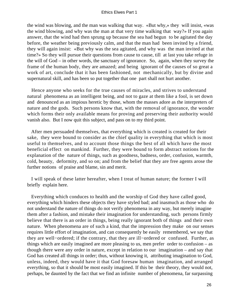the wind was blowing, and the man was walking that way. «But why,» they will insist, «was the wind blowing, and why was the man at that very time walking that way?» If you again answer, that the wind had then sprung up because the sea had begun to be agitated the day before, the weather being previously calm, and that the man had been invited by a friend, they will again insist: «But why was the sea agitated, and why was the man invited at that time?» So they will pursue their questions from cause to cause, till at last you take refuge in the will of God – in other words, the sanctuary of ignorance. So, again, when they survey the frame of the human body, they are amazed; and being ignorant of the causes of so great a work of art, conclude that it has been fashioned, not mechanically, but by divine and supernatural skill, and has been so put together that one part shall not hurt another.

 Hence anyone who seeks for the true causes of miracles, and strives to understand natural phenomena as an intelligent being, and not to gaze at them like a fool, is set down and denounced as an impious heretic by those, whom the masses adore as the interpreters of nature and the gods. Such persons know that, with the removal of ignorance, the wonder which forms their only available means for proving and preserving their authority would vanish also. But I now quit this subject, and pass on to my third point.

 After men persuaded themselves, that everything which is created is created for their sake, they were bound to consider as the chief quality in everything that which is most useful to themselves, and to account those things the best of all which have the most beneficial effect on mankind. Further, they were bound to form abstract notions for the explanation of the nature of things, such as goodness, badness, order, confusion, warmth, cold, beauty, deformity, and so on; and from the belief that they are free agents arose the further notions of praise and blame, sin and merit.

 I will speak of these latter hereafter, when I treat of human nature; the former I will briefly explain here.

 Everything which conduces to health and the worship of God they have called good, everything which hinders these objects they have styled bad; and inasmuch as those who do not understand the nature of things do not verify phenomena in any way, but merely imagine them after a fashion, and mistake their imagination for understanding, such persons firmly believe that there is an order in things, being really ignorant both of things and their own nature. When phenomena are of such a kind, that the impression they make on our senses requires little effort of imagination, and can consequently be easily remembered, we say that they are well−ordered; if the contrary, that they are ill−ordered or confused. Further, as things which are easily imagined are more pleasing to us, men prefer order to confusion – as though there were any order in nature, except in relation to our imagination – and say that God has created all things in order; thus, without knowing it, attributing imagination to God, unless, indeed, they would have it that God foresaw human imagination, and arranged everything, so that it should be most easily imagined. If this be their theory, they would not, perhaps, be daunted by the fact that we find an infinite number of phenomena, far surpassing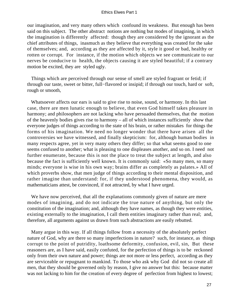our imagination, and very many others which confound its weakness. But enough has been said on this subject. The other abstract notions are nothing but modes of imagining, in which the imagination is differently affected: though they are considered by the ignorant as the chief attributes of things, inasmuch as they believe that everything was created for the sake of themselves; and, according as they are affected by it, style it good or bad, healthy or rotten or corrupt. For instance, if the motion which objects we see communicate to our nerves be conducive to health, the objects causing it are styled beautiful; if a contrary motion be excited, they are styled ugly.

 Things which are perceived through our sense of smell are styled fragrant or fetid; if through our taste, sweet or bitter, full−flavored or insipid; if through our touch, hard or soft, rough or smooth,

 Whatsoever affects our ears is said to give rise to noise, sound, or harmony. In this last case, there are men lunatic enough to believe, that even God himself takes pleasure in harmony; and philosophers are not lacking who have persuaded themselves, that the motion of the heavenly bodies gives rise to harmony – all of which instances sufficiently show that everyone judges of things according to the state of his brain, or rather mistakes for things the forms of his imagination. We need no longer wonder that there have arisen all the controversies we have witnessed, and finally skepticism: for, although human bodies in many respects agree, yet in very many others they differ; so that what seems good to one seems confused to another; what is pleasing to one displeases another, and so on. I need not further enumerate, because this is not the place to treat the subject at length, and also because the fact is sufficiently well known. It is commonly said: «So many men, so many minds; everyone is wise in his own way; brains differ as completely as palates.» All of which proverbs show, that men judge of things according to their mental disposition, and rather imagine than understand: for, if they understood phenomena, they would, as mathematicians attest, be convinced, if not attracted, by what I have urged.

We have now perceived, that all the explanations commonly given of nature are mere modes of imagining, and do not indicate the true nature of anything, but only the constitution of the imagination; and, although they have names, as though they were entities, existing externally to the imagination, I call them entities imaginary rather than real; and, therefore, all arguments against us drawn from such abstractions are easily rebutted.

 Many argue in this way. If all things follow from a necessity of the absolutely perfect nature of God, why are there so many imperfections in nature? such, for instance, as things corrupt to the point of putridity, loathsome deformity, confusion, evil, sin, But these reasoners are, as I have said, easily confuted, for the perfection of things is to be reckoned only from their own nature and power; things are not more or less perfect, according as they are serviceable or repugnant to mankind. To those who ask why God did not so create all men, that they should be governed only by reason, I give no answer but this: because matter was not lacking to him for the creation of every degree of perfection from highest to lowest;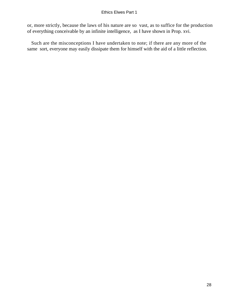or, more strictly, because the laws of his nature are so vast, as to suffice for the production of everything conceivable by an infinite intelligence, as I have shown in Prop. xvi.

 Such are the misconceptions I have undertaken to note; if there are any more of the same sort, everyone may easily dissipate them for himself with the aid of a little reflection.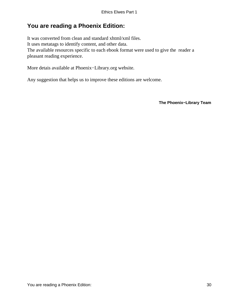## <span id="page-30-0"></span>**You are reading a Phoenix Edition:**

It was converted from clean and standard xhtml/xml files. It uses metatags to identify content, and other data. The available resources specific to each ebook format were used to give the reader a pleasant reading experience.

More detais available at Phoenix−Library.org website.

Any suggestion that helps us to improve these editions are welcome.

**The Phoenix−Library Team**